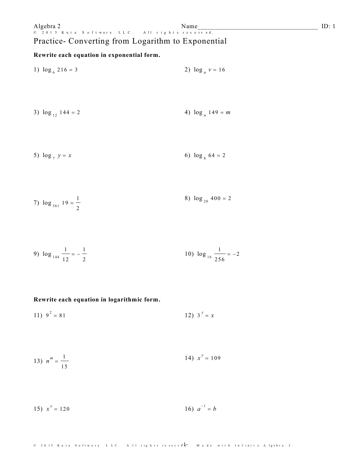# Practice- Converting from Logarithm to Exponential

### Rewrite each equation in exponential form.

| 1) $\log_6 216 = 3$    | 2) $\log_u v = 16$  |
|------------------------|---------------------|
| 3) $\log_{12} 144 = 2$ | 4) $\log_n 149 = m$ |
| 5) $\log_7 y = x$      | 6) $\log_8 64 = 2$  |

7) 
$$
\log_{361} 19 = \frac{1}{2}
$$
 8)  $\log_{20} 400 = 2$ 

9) 
$$
\log_{144} \frac{1}{12} = -\frac{1}{2}
$$
   
10)  $\log_{16} \frac{1}{256} = -2$ 

### Rewrite each equation in logarithmic form.

11) 
$$
9^2 = 81
$$
 12)  $3^y = x$ 

13) 
$$
n^m = \frac{1}{15}
$$
 14)  $x^y = 109$ 

15) 
$$
x^y = 120
$$
 16)  $a^{-1} = b$ 

#### © 2015 Kuta Software LLC. All rights reservender. Made with Infinite Algebra 2.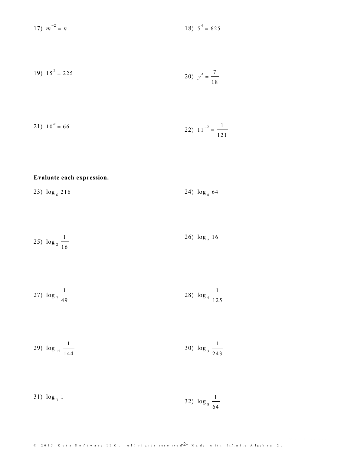$$
17) \ \ m^{-2} = n \tag{18} \ \ 5^4 = 625
$$

19) 
$$
15^2 = 225
$$
  
20)  $y^x = \frac{7}{18}$ 

$$
21) \t10n = 66 \t\t\t\t22) \t11-2 = \frac{1}{121}
$$

# Evaluate each expression.

23)  $\log_6 216$ 24)  $\log_8 64$ 

$$
25) \log_2 \frac{1}{16} \qquad \qquad 26) \log_2 16
$$

27) 
$$
\log_{7} \frac{1}{49}
$$
 28)  $\log_{5} \frac{1}{125}$ 

29) 
$$
\log_{12} \frac{1}{144}
$$
 30)  $\log_{3} \frac{1}{243}$ 

31) 
$$
\log_3 1
$$
 32)  $\log_8 \frac{1}{64}$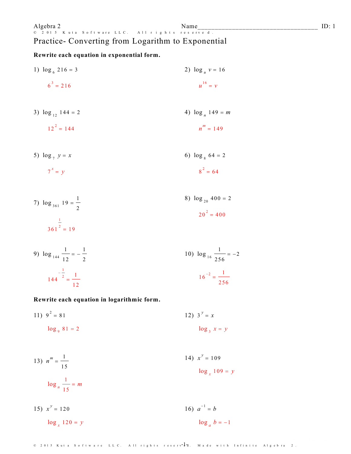#### Name  $r \overline{v}$  e d.

# Algebra 2 Na Software LLC. All rights res Practice- Converting from Logarithm to Exponential

Rewrite each equation in exponential form.

1)  $\log_6 216 = 3$ 2)  $\log_u v = 16$  $u^{16} = v$  $6^3 = 216$ 3)  $\log_{12} 144 = 2$ 4)  $\log_n 149 = m$  $12^2 = 144$  $n^m = 149$ 6)  $\log_8 64 = 2$ 5)  $\log_7 y = x$  $8^{2} = 64$  $7^x = y$ 8)  $\log_{20} 400 = 2$ 7)  $\log_{361} 19 = \frac{1}{2}$  $20^2 = 400$  $\frac{1}{361^2}$  = 19

9) 
$$
\log_{144} \frac{1}{12} = -\frac{1}{2}
$$
  
\n $144^{-\frac{1}{2}} = \frac{1}{12}$   
\n10)  $\log_{16} \frac{1}{256} = -2$   
\n110)  $\log_{16} \frac{1}{256} = -2$ 

Rewrite each equation in logarithmic form.

11)  $9^2 = 81$ 12)  $3^y = x$  $log_9 81 = 2$  $\log_3 x = y$ 

13) 
$$
n^m = \frac{1}{15}
$$
  
\n
$$
\log_n \frac{1}{15} = m
$$
\n
$$
\log_{10} \frac{1}{15} = m
$$

16)  $a^{-1} = b$ 15)  $x^y = 120$  $\log_a b = -1$  $\log_{x} 120 = y$ 

© 2015 Kuta Software LLC. All rights reserv<sup>-1</sup>d. Made with Infinite Algebra 2.